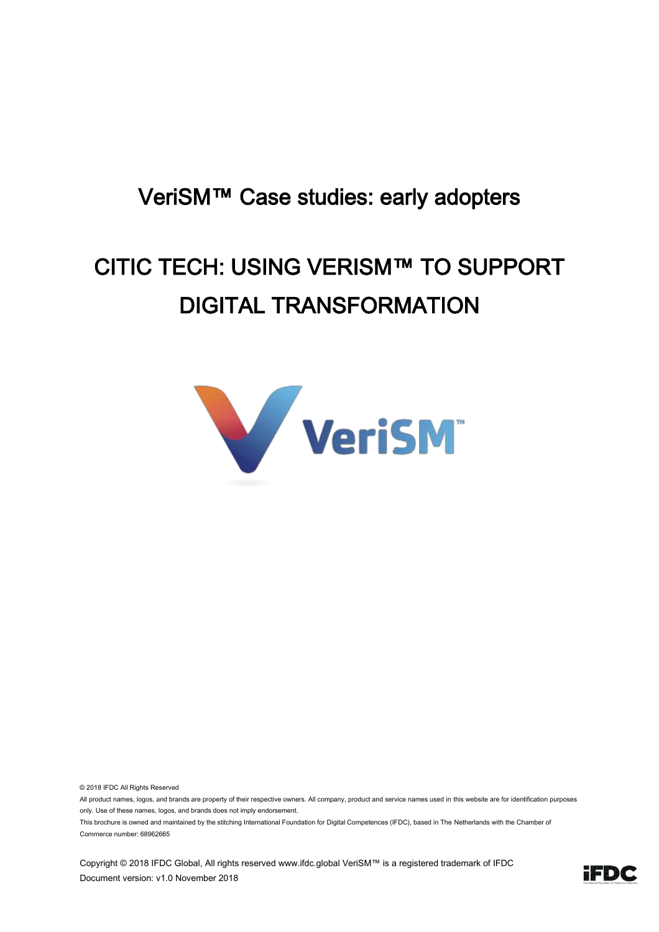### VeriSM™ Case studies: early adopters

## CITIC TECH: USING VERISM™ TO SUPPORT DIGITAL TRANSFORMATION



© 2018 IFDC All Rights Reserved

All product names, logos, and brands are property of their respective owners. All company, product and service names used in this website are for identification purposes only. Use of these names, logos, and brands does not imply endorsement.

This brochure is owned and maintained by the stitching International Foundation for Digital Competences (IFDC), based in The Netherlands with the Chamber of Commerce number: 68962665

Copyright © 2018 IFDC Global, All rights reserved www.ifdc.global VeriSM™ is a registered trademark of IFDC Document version: v1.0 November 2018

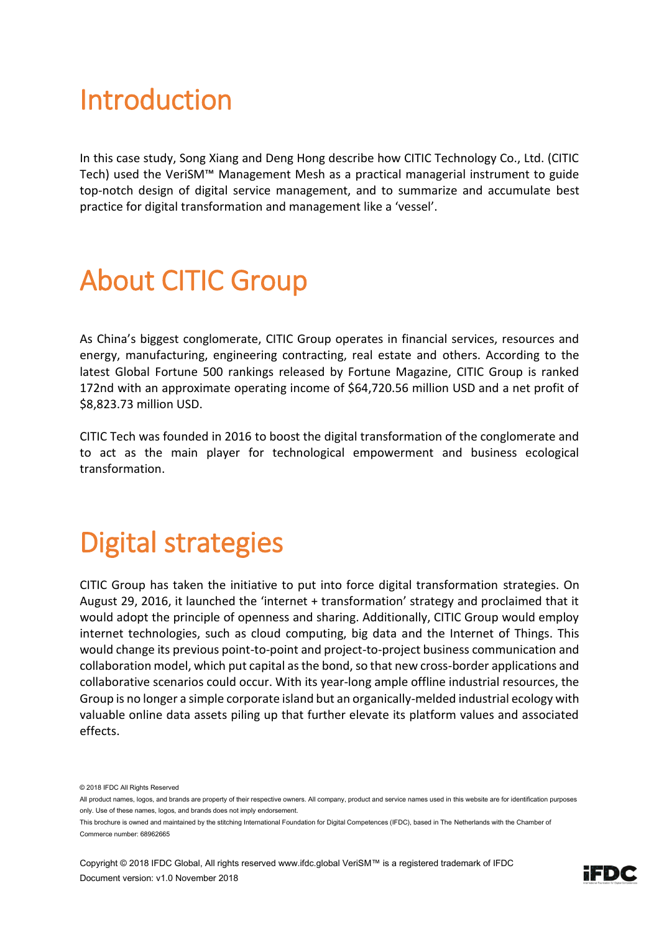### Introduction

In this case study, Song Xiang and Deng Hong describe how CITIC Technology Co., Ltd. (CITIC Tech) used the VeriSM™ Management Mesh as a practical managerial instrument to guide top-notch design of digital service management, and to summarize and accumulate best practice for digital transformation and management like a 'vessel'.

## About CITIC Group

As China's biggest conglomerate, CITIC Group operates in financial services, resources and energy, manufacturing, engineering contracting, real estate and others. According to the latest Global Fortune 500 rankings released by Fortune Magazine, CITIC Group is ranked 172nd with an approximate operating income of \$64,720.56 million USD and a net profit of \$8,823.73 million USD.

CITIC Tech was founded in 2016 to boost the digital transformation of the conglomerate and to act as the main player for technological empowerment and business ecological transformation.

# Digital strategies

CITIC Group has taken the initiative to put into force digital transformation strategies. On August 29, 2016, it launched the 'internet + transformation' strategy and proclaimed that it would adopt the principle of openness and sharing. Additionally, CITIC Group would employ internet technologies, such as cloud computing, big data and the Internet of Things. This would change its previous point-to-point and project-to-project business communication and collaboration model, which put capital as the bond, so that new cross-border applications and collaborative scenarios could occur. With its year-long ample offline industrial resources, the Group is no longer a simple corporate island but an organically-melded industrial ecology with valuable online data assets piling up that further elevate its platform values and associated effects.



<sup>© 2018</sup> IFDC All Rights Reserved

All product names, logos, and brands are property of their respective owners. All company, product and service names used in this website are for identification purposes only. Use of these names, logos, and brands does not imply endorsement.

This brochure is owned and maintained by the stitching International Foundation for Digital Competences (IFDC), based in The Netherlands with the Chamber of Commerce number: 68962665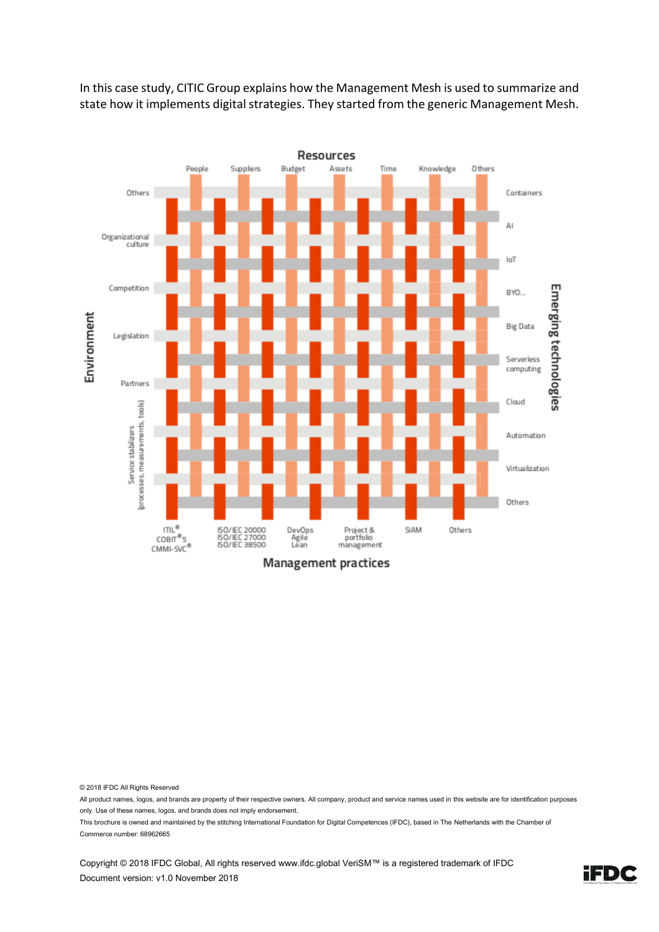

In this case study, CITIC Group explains how the Management Mesh is used to summarize and state how it implements digital strategies. They started from the generic Management Mesh.

**Management practices** 

© 2018 IFDC All Rights Reserved

All product names, logos, and brands are property of their respective owners. All company, product and service names used in this website are for identification purposes only. Use of these names, logos, and brands does not imply endorsement.

This brochure is owned and maintained by the stitching International Foundation for Digital Competences (IFDC), based in The Netherlands with the Chamber of Commerce number: 68962665

Copyright © 2018 IFDC Global, All rights reserved www.ifdc.global VeriSM™ is a registered trademark of IFDC Document version: v1.0 November 2018

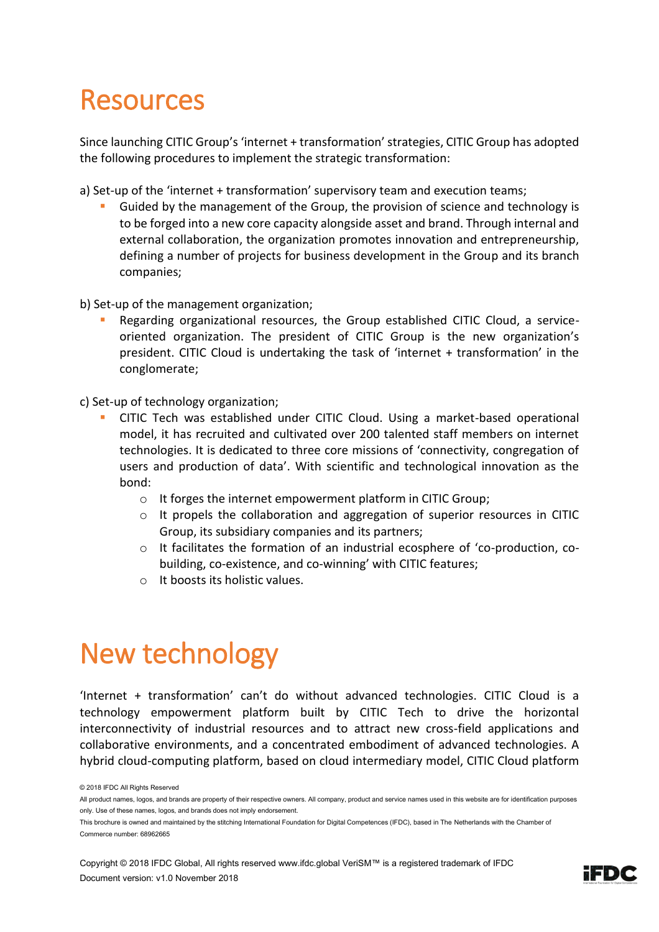### Resources

Since launching CITIC Group's 'internet + transformation' strategies, CITIC Group has adopted the following procedures to implement the strategic transformation:

a) Set-up of the 'internet + transformation' supervisory team and execution teams;

Guided by the management of the Group, the provision of science and technology is to be forged into a new core capacity alongside asset and brand. Through internal and external collaboration, the organization promotes innovation and entrepreneurship, defining a number of projects for business development in the Group and its branch companies;

b) Set-up of the management organization;

Regarding organizational resources, the Group established CITIC Cloud, a serviceoriented organization. The president of CITIC Group is the new organization's president. CITIC Cloud is undertaking the task of 'internet + transformation' in the conglomerate;

c) Set-up of technology organization;

- **EXTIC Tech was established under CITIC Cloud. Using a market-based operational** model, it has recruited and cultivated over 200 talented staff members on internet technologies. It is dedicated to three core missions of 'connectivity, congregation of users and production of data'. With scientific and technological innovation as the bond:
	- o It forges the internet empowerment platform in CITIC Group;
	- $\circ$  It propels the collaboration and aggregation of superior resources in CITIC Group, its subsidiary companies and its partners;
	- o It facilitates the formation of an industrial ecosphere of 'co-production, cobuilding, co-existence, and co-winning' with CITIC features;
	- o It boosts its holistic values.

### New technology

'Internet + transformation' can't do without advanced technologies. CITIC Cloud is a technology empowerment platform built by CITIC Tech to drive the horizontal interconnectivity of industrial resources and to attract new cross-field applications and collaborative environments, and a concentrated embodiment of advanced technologies. A hybrid cloud-computing platform, based on cloud intermediary model, CITIC Cloud platform

<sup>© 2018</sup> IFDC All Rights Reserved

All product names, logos, and brands are property of their respective owners. All company, product and service names used in this website are for identification purposes only. Use of these names, logos, and brands does not imply endorsement.

This brochure is owned and maintained by the stitching International Foundation for Digital Competences (IFDC), based in The Netherlands with the Chamber of Commerce number: 68962665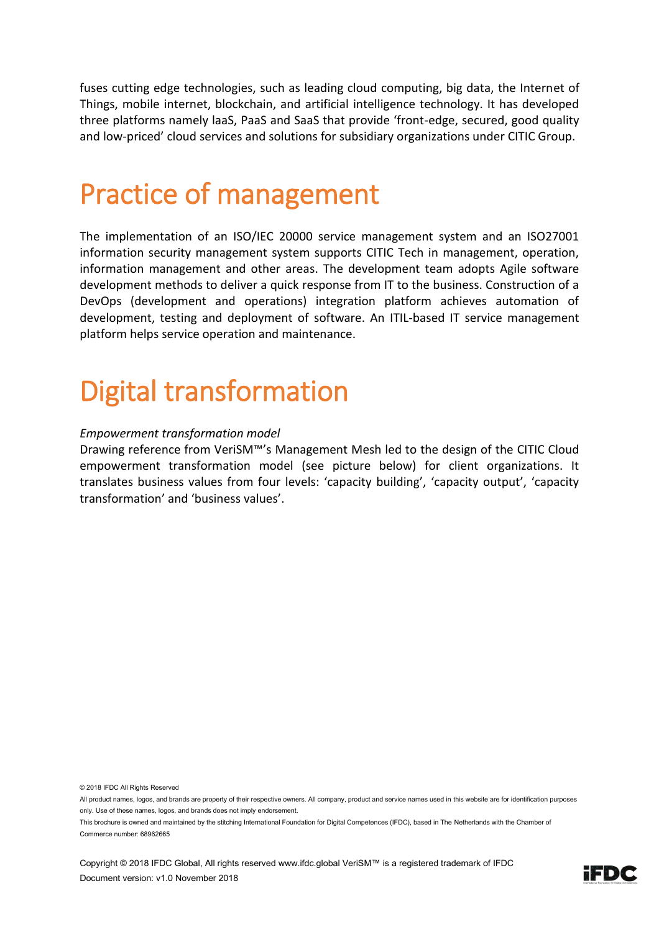fuses cutting edge technologies, such as leading cloud computing, big data, the Internet of Things, mobile internet, blockchain, and artificial intelligence technology. It has developed three platforms namely laaS, PaaS and SaaS that provide 'front-edge, secured, good quality and low-priced' cloud services and solutions for subsidiary organizations under CITIC Group.

### Practice of management

The implementation of an ISO/IEC 20000 service management system and an ISO27001 information security management system supports CITIC Tech in management, operation, information management and other areas. The development team adopts Agile software development methods to deliver a quick response from IT to the business. Construction of a DevOps (development and operations) integration platform achieves automation of development, testing and deployment of software. An ITIL-based IT service management platform helps service operation and maintenance.

# Digital transformation

#### *Empowerment transformation model*

Drawing reference from VeriSM™'s Management Mesh led to the design of the CITIC Cloud empowerment transformation model (see picture below) for client organizations. It translates business values from four levels: 'capacity building', 'capacity output', 'capacity transformation' and 'business values'.



All product names, logos, and brands are property of their respective owners. All company, product and service names used in this website are for identification purposes only. Use of these names, logos, and brands does not imply endorsement.

This brochure is owned and maintained by the stitching International Foundation for Digital Competences (IFDC), based in The Netherlands with the Chamber of Commerce number: 68962665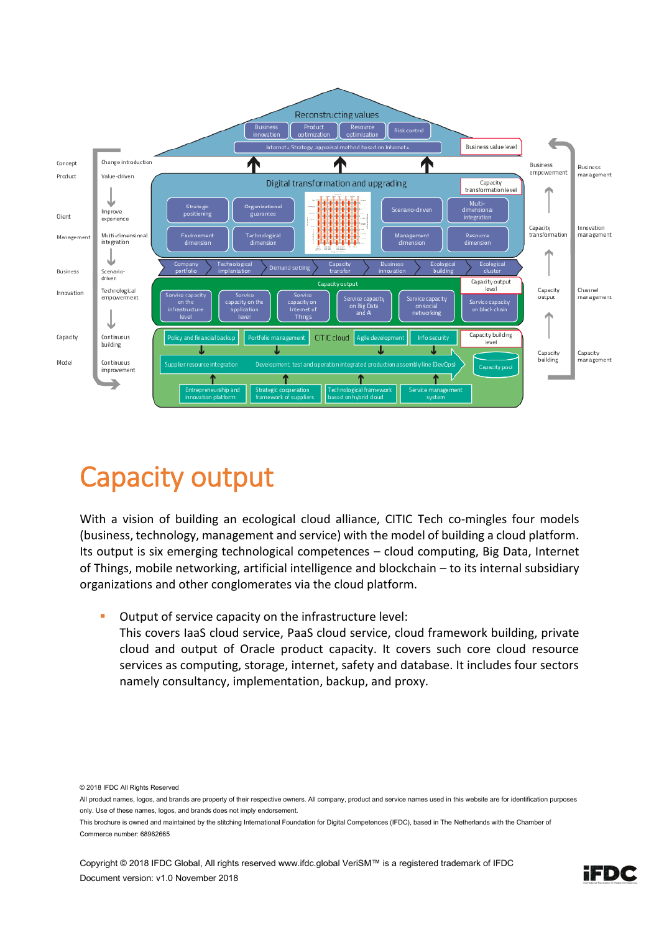

## Capacity output

With a vision of building an ecological cloud alliance, CITIC Tech co-mingles four models (business, technology, management and service) with the model of building a cloud platform. Its output is six emerging technological competences – cloud computing, Big Data, Internet of Things, mobile networking, artificial intelligence and blockchain – to its internal subsidiary organizations and other conglomerates via the cloud platform.

■ Output of service capacity on the infrastructure level:

This covers IaaS cloud service, PaaS cloud service, cloud framework building, private cloud and output of Oracle product capacity. It covers such core cloud resource services as computing, storage, internet, safety and database. It includes four sectors namely consultancy, implementation, backup, and proxy.

© 2018 IFDC All Rights Reserved

This brochure is owned and maintained by the stitching International Foundation for Digital Competences (IFDC), based in The Netherlands with the Chamber of Commerce number: 68962665



All product names, logos, and brands are property of their respective owners. All company, product and service names used in this website are for identification purposes only. Use of these names, logos, and brands does not imply endorsement.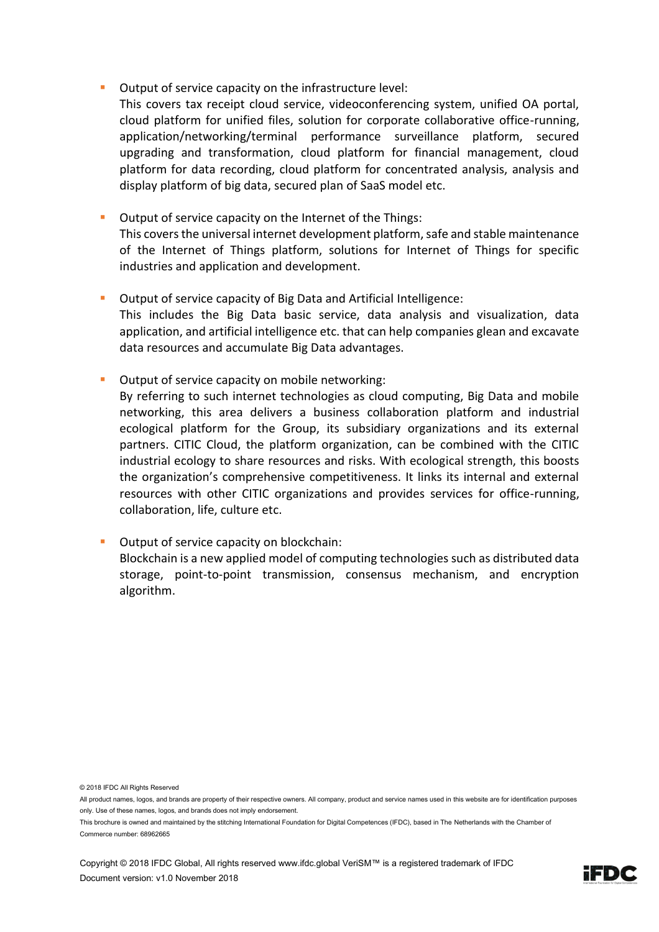- Output of service capacity on the infrastructure level:
	- This covers tax receipt cloud service, videoconferencing system, unified OA portal, cloud platform for unified files, solution for corporate collaborative office-running, application/networking/terminal performance surveillance platform, secured upgrading and transformation, cloud platform for financial management, cloud platform for data recording, cloud platform for concentrated analysis, analysis and display platform of big data, secured plan of SaaS model etc.
- Output of service capacity on the Internet of the Things: This covers the universal internet development platform, safe and stable maintenance of the Internet of Things platform, solutions for Internet of Things for specific industries and application and development.
- Output of service capacity of Big Data and Artificial Intelligence: This includes the Big Data basic service, data analysis and visualization, data application, and artificial intelligence etc. that can help companies glean and excavate data resources and accumulate Big Data advantages.
- Output of service capacity on mobile networking: By referring to such internet technologies as cloud computing, Big Data and mobile networking, this area delivers a business collaboration platform and industrial ecological platform for the Group, its subsidiary organizations and its external partners. CITIC Cloud, the platform organization, can be combined with the CITIC industrial ecology to share resources and risks. With ecological strength, this boosts the organization's comprehensive competitiveness. It links its internal and external resources with other CITIC organizations and provides services for office-running, collaboration, life, culture etc.
- Output of service capacity on blockchain: Blockchain is a new applied model of computing technologies such as distributed data storage, point-to-point transmission, consensus mechanism, and encryption algorithm.



All product names, logos, and brands are property of their respective owners. All company, product and service names used in this website are for identification purposes only. Use of these names, logos, and brands does not imply endorsement.

This brochure is owned and maintained by the stitching International Foundation for Digital Competences (IFDC), based in The Netherlands with the Chamber of Commerce number: 68962665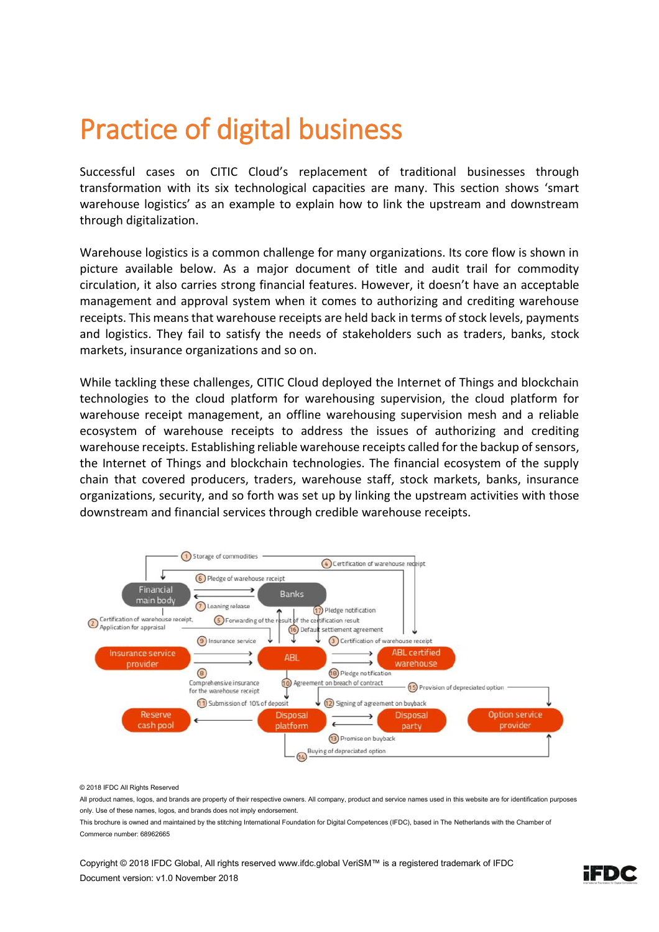### Practice of digital business

Successful cases on CITIC Cloud's replacement of traditional businesses through transformation with its six technological capacities are many. This section shows 'smart warehouse logistics' as an example to explain how to link the upstream and downstream through digitalization.

Warehouse logistics is a common challenge for many organizations. Its core flow is shown in picture available below. As a major document of title and audit trail for commodity circulation, it also carries strong financial features. However, it doesn't have an acceptable management and approval system when it comes to authorizing and crediting warehouse receipts. This means that warehouse receipts are held back in terms of stock levels, payments and logistics. They fail to satisfy the needs of stakeholders such as traders, banks, stock markets, insurance organizations and so on.

While tackling these challenges, CITIC Cloud deployed the Internet of Things and blockchain technologies to the cloud platform for warehousing supervision, the cloud platform for warehouse receipt management, an offline warehousing supervision mesh and a reliable ecosystem of warehouse receipts to address the issues of authorizing and crediting warehouse receipts. Establishing reliable warehouse receipts called for the backup of sensors, the Internet of Things and blockchain technologies. The financial ecosystem of the supply chain that covered producers, traders, warehouse staff, stock markets, banks, insurance organizations, security, and so forth was set up by linking the upstream activities with those downstream and financial services through credible warehouse receipts.



© 2018 IFDC All Rights Reserved

All product names, logos, and brands are property of their respective owners. All company, product and service names used in this website are for identification purposes only. Use of these names, logos, and brands does not imply endorsement.

This brochure is owned and maintained by the stitching International Foundation for Digital Competences (IFDC), based in The Netherlands with the Chamber of Commerce number: 68962665

Copyright © 2018 IFDC Global, All rights reserved www.ifdc.global VeriSM™ is a registered trademark of IFDC Document version: v1.0 November 2018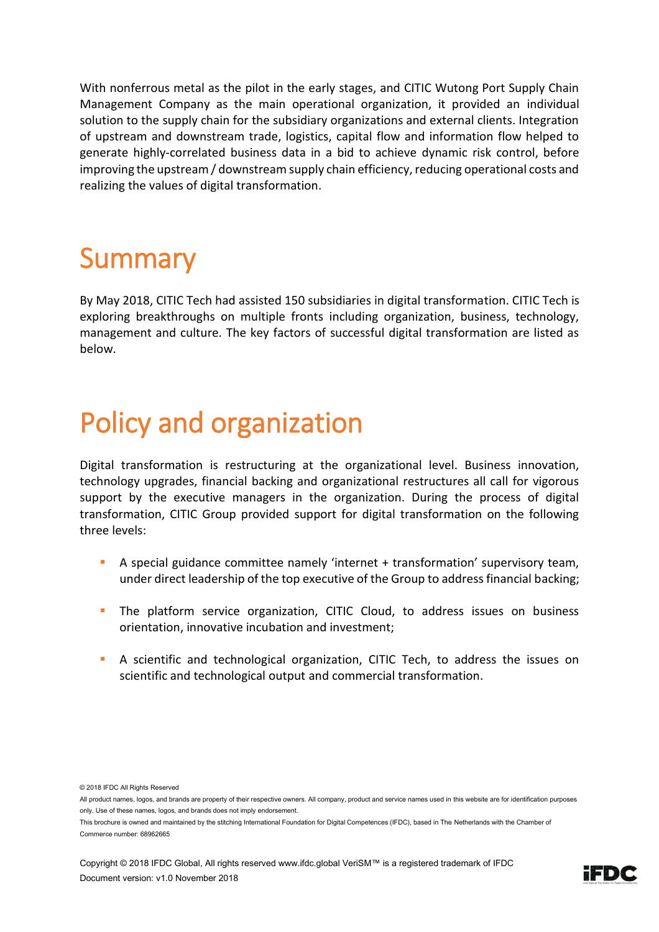With nonferrous metal as the pilot in the early stages, and CITIC Wutong Port Supply Chain Management Company as the main operational organization, it provided an individual solution to the supply chain for the subsidiary organizations and external clients. Integration of upstream and downstream trade, logistics, capital flow and information flow helped to generate highly-correlated business data in a bid to achieve dynamic risk control, before improving the upstream / downstream supply chain efficiency, reducing operational costs and realizing the values of digital transformation.

## Summary

By May 2018, CITIC Tech had assisted 150 subsidiaries in digital transformation. CITIC Tech is exploring breakthroughs on multiple fronts including organization, business, technology, management and culture. The key factors of successful digital transformation are listed as below.

# Policy and organization

Digital transformation is restructuring at the organizational level. Business innovation, technology upgrades, financial backing and organizational restructures all call for vigorous support by the executive managers in the organization. During the process of digital transformation, CITIC Group provided support for digital transformation on the following three levels:

- A special guidance committee namely 'internet + transformation' supervisory team, under direct leadership of the top executive of the Group to address financial backing;
- **•** The platform service organization, CITIC Cloud, to address issues on business orientation, innovative incubation and investment;
- **E** A scientific and technological organization, CITIC Tech, to address the issues on scientific and technological output and commercial transformation.

All product names, logos, and brands are property of their respective owners. All company, product and service names used in this website are for identification purposes only. Use of these names, logos, and brands does not imply endorsement.

This brochure is owned and maintained by the stitching International Foundation for Digital Competences (IFDC), based in The Netherlands with the Chamber of Commerce number: 68962665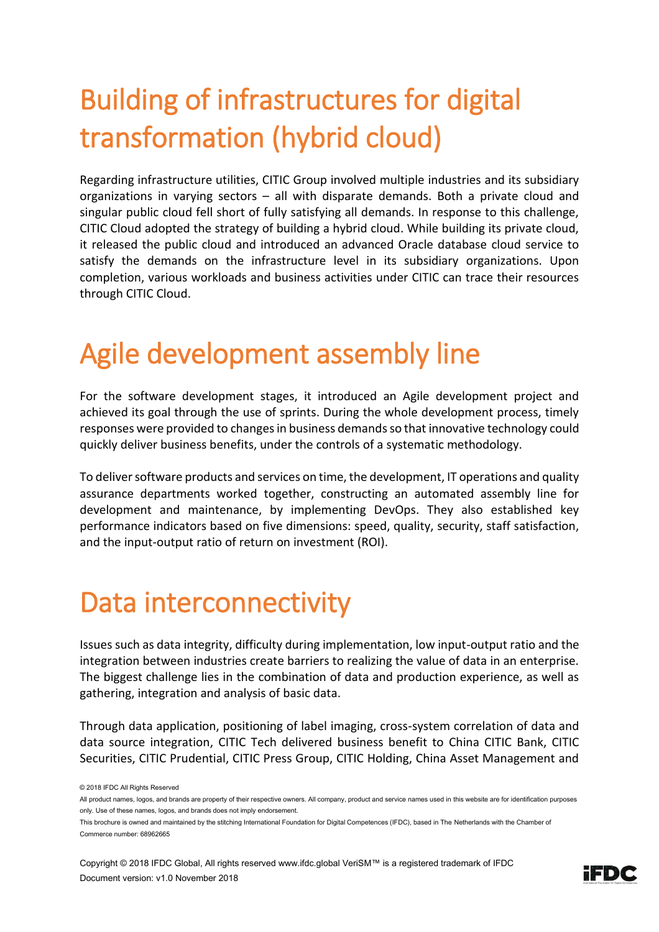# Building of infrastructures for digital transformation (hybrid cloud)

Regarding infrastructure utilities, CITIC Group involved multiple industries and its subsidiary organizations in varying sectors – all with disparate demands. Both a private cloud and singular public cloud fell short of fully satisfying all demands. In response to this challenge, CITIC Cloud adopted the strategy of building a hybrid cloud. While building its private cloud, it released the public cloud and introduced an advanced Oracle database cloud service to satisfy the demands on the infrastructure level in its subsidiary organizations. Upon completion, various workloads and business activities under CITIC can trace their resources through CITIC Cloud.

# Agile development assembly line

For the software development stages, it introduced an Agile development project and achieved its goal through the use of sprints. During the whole development process, timely responses were provided to changes in business demands so that innovative technology could quickly deliver business benefits, under the controls of a systematic methodology.

To deliver software products and services on time, the development, IT operations and quality assurance departments worked together, constructing an automated assembly line for development and maintenance, by implementing DevOps. They also established key performance indicators based on five dimensions: speed, quality, security, staff satisfaction, and the input-output ratio of return on investment (ROI).

## Data interconnectivity

Issues such as data integrity, difficulty during implementation, low input-output ratio and the integration between industries create barriers to realizing the value of data in an enterprise. The biggest challenge lies in the combination of data and production experience, as well as gathering, integration and analysis of basic data.

Through data application, positioning of label imaging, cross-system correlation of data and data source integration, CITIC Tech delivered business benefit to China CITIC Bank, CITIC Securities, CITIC Prudential, CITIC Press Group, CITIC Holding, China Asset Management and



All product names, logos, and brands are property of their respective owners. All company, product and service names used in this website are for identification purposes only. Use of these names, logos, and brands does not imply endorsement.

This brochure is owned and maintained by the stitching International Foundation for Digital Competences (IFDC), based in The Netherlands with the Chamber of Commerce number: 68962665